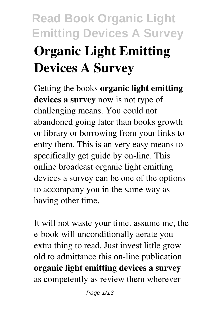# **Read Book Organic Light Emitting Devices A Survey Organic Light Emitting Devices A Survey**

Getting the books **organic light emitting devices a survey** now is not type of challenging means. You could not abandoned going later than books growth or library or borrowing from your links to entry them. This is an very easy means to specifically get guide by on-line. This online broadcast organic light emitting devices a survey can be one of the options to accompany you in the same way as having other time.

It will not waste your time. assume me, the e-book will unconditionally aerate you extra thing to read. Just invest little grow old to admittance this on-line publication **organic light emitting devices a survey** as competently as review them wherever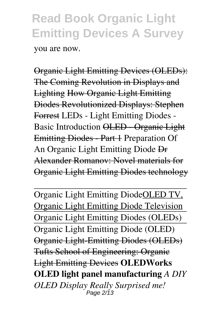you are now.

Organic Light Emitting Devices (OLEDs): The Coming Revolution in Displays and Lighting How Organic Light Emitting Diodes Revolutionized Displays: Stephen Forrest LEDs - Light Emitting Diodes - Basic Introduction OLED - Organic Light Emitting Diodes - Part 1 Preparation Of An Organic Light Emitting Diode Dr Alexander Romanov: Novel materials for Organic Light Emitting Diodes technology

Organic Light Emitting DiodeOLED TV, Organic Light Emitting Diode Television Organic Light Emitting Diodes (OLEDs) Organic Light Emitting Diode (OLED) Organic Light-Emitting Diodes (OLEDs) Tufts School of Engineering: Organic Light Emitting Devices **OLEDWorks OLED light panel manufacturing** *A DIY OLED Display Really Surprised me!* Page 2/13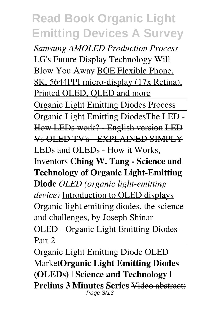*Samsung AMOLED Production Process* LG's Future Display Technology Will Blow You Away BOE Flexible Phone, 8K, 5644PPI micro-display (17x Retina), Printed OLED, QLED and more Organic Light Emitting Diodes Process Organic Light Emitting DiodesThe LED - How LEDs work? - English version LED Vs OLED TV's - EXPLAINED SIMPLY LEDs and OLEDs - How it Works, Inventors **Ching W. Tang - Science and Technology of Organic Light-Emitting Diode** *OLED (organic light-emitting device)* Introduction to OLED displays Organic light emitting diodes, the science and challenges, by Joseph Shinar OLED - Organic Light Emitting Diodes -

Part 2

Organic Light Emitting Diode OLED Market**Organic Light Emitting Diodes (OLEDs) | Science and Technology | Prelims 3 Minutes Series** Video abstract: Page 3/13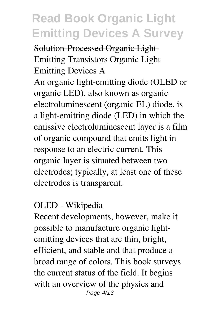Solution-Processed Organic Light-Emitting Transistors Organic Light Emitting Devices A

An organic light-emitting diode (OLED or organic LED), also known as organic electroluminescent (organic EL) diode, is a light-emitting diode (LED) in which the emissive electroluminescent layer is a film of organic compound that emits light in response to an electric current. This organic layer is situated between two electrodes; typically, at least one of these electrodes is transparent.

#### OLED - Wikipedia

Recent developments, however, make it possible to manufacture organic lightemitting devices that are thin, bright, efficient, and stable and that produce a broad range of colors. This book surveys the current status of the field. It begins with an overview of the physics and Page 4/13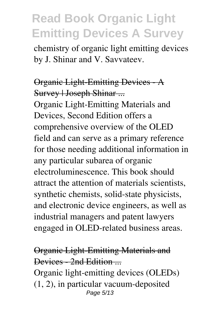chemistry of organic light emitting devices by J. Shinar and V. Savvateev.

#### Organic Light-Emitting Devices - A Survey | Joseph Shinar ...

Organic Light-Emitting Materials and Devices, Second Edition offers a comprehensive overview of the OLED field and can serve as a primary reference for those needing additional information in any particular subarea of organic electroluminescence. This book should attract the attention of materials scientists, synthetic chemists, solid-state physicists, and electronic device engineers, as well as industrial managers and patent lawyers engaged in OLED-related business areas.

#### Organic Light-Emitting Materials and Devices - 2nd Edition ...

Organic light-emitting devices (OLEDs) (1, 2), in particular vacuum-deposited Page 5/13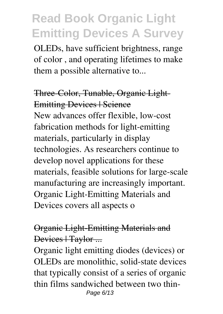OLEDs, have sufficient brightness, range of color , and operating lifetimes to make them a possible alternative to...

#### Three-Color, Tunable, Organic Light-Emitting Devices | Science

New advances offer flexible, low-cost fabrication methods for light-emitting materials, particularly in display technologies. As researchers continue to develop novel applications for these materials, feasible solutions for large-scale manufacturing are increasingly important. Organic Light-Emitting Materials and Devices covers all aspects o

#### Organic Light-Emitting Materials and Devices | Taylor ...

Organic light emitting diodes (devices) or OLEDs are monolithic, solid-state devices that typically consist of a series of organic thin films sandwiched between two thin-Page 6/13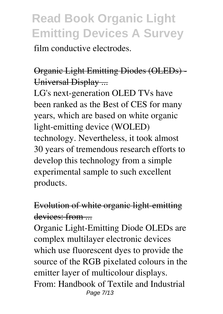film conductive electrodes.

Organic Light Emitting Diodes (OLEDs) - Universal Display ...

LG's next-generation OLED TVs have been ranked as the Best of CES for many years, which are based on white organic light-emitting device (WOLED) technology. Nevertheless, it took almost 30 years of tremendous research efforts to develop this technology from a simple experimental sample to such excellent products.

### Evolution of white organic light-emitting devices: from

Organic Light-Emitting Diode OLEDs are complex multilayer electronic devices which use fluorescent dyes to provide the source of the RGB pixelated colours in the emitter layer of multicolour displays. From: Handbook of Textile and Industrial Page 7/13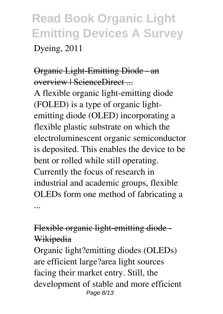Dyeing, 2011

### Organic Light-Emitting Diode - an overview | ScienceDirect ...

A flexible organic light-emitting diode (FOLED) is a type of organic lightemitting diode (OLED) incorporating a flexible plastic substrate on which the electroluminescent organic semiconductor is deposited. This enables the device to be bent or rolled while still operating. Currently the focus of research in industrial and academic groups, flexible OLEDs form one method of fabricating a ...

### Flexible organic light-emitting diode - Wikipedia

Organic light?emitting diodes (OLEDs) are efficient large?area light sources facing their market entry. Still, the development of stable and more efficient Page 8/13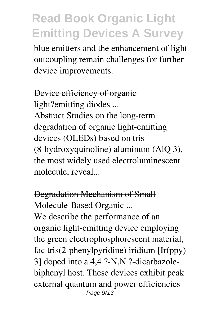blue emitters and the enhancement of light outcoupling remain challenges for further device improvements.

Device efficiency of organic light?emitting diodes ... Abstract Studies on the long-term degradation of organic light-emitting devices (OLEDs) based on tris (8-hydroxyquinoline) aluminum (AlQ 3), the most widely used electroluminescent molecule, reveal...

Degradation Mechanism of Small Molecule-Based Organic ... We describe the performance of an organic light-emitting device employing the green electrophosphorescent material, fac tris(2-phenylpyridine) iridium [Ir(ppy) 3] doped into a 4,4 ?-N,N ?-dicarbazolebiphenyl host. These devices exhibit peak external quantum and power efficiencies Page 9/13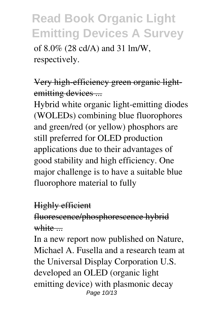of 8.0% (28 cd/A) and 31 lm/W, respectively.

Very high-efficiency green organic lightemitting devices ...

Hybrid white organic light-emitting diodes (WOLEDs) combining blue fluorophores and green/red (or yellow) phosphors are still preferred for OLED production applications due to their advantages of good stability and high efficiency. One major challenge is to have a suitable blue fluorophore material to fully

#### Highly efficient

fluorescence/phosphorescence hybrid white ...

In a new report now published on Nature, Michael A. Fusella and a research team at the Universal Display Corporation U.S. developed an OLED (organic light emitting device) with plasmonic decay Page 10/13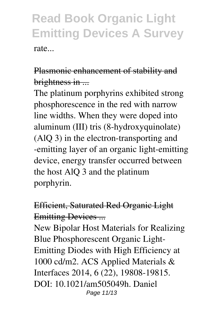rate...

### Plasmonic enhancement of stability and brightness in ...

The platinum porphyrins exhibited strong phosphorescence in the red with narrow line widths. When they were doped into aluminum (III) tris (8-hydroxyquinolate) (AlQ 3) in the electron-transporting and -emitting layer of an organic light-emitting device, energy transfer occurred between the host AlQ 3 and the platinum porphyrin.

### Efficient, Saturated Red Organic Light Emitting Devices ...

New Bipolar Host Materials for Realizing Blue Phosphorescent Organic Light-Emitting Diodes with High Efficiency at 1000 cd/m2. ACS Applied Materials & Interfaces 2014, 6 (22), 19808-19815. DOI: 10.1021/am505049h. Daniel Page 11/13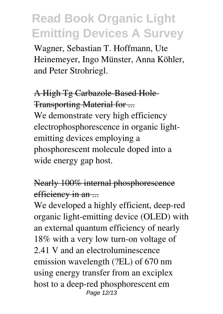Wagner, Sebastian T. Hoffmann, Ute Heinemeyer, Ingo Münster, Anna Köhler, and Peter Strohriegl.

### A High Tg Carbazole-Based Hole-Transporting Material for ...

We demonstrate very high efficiency electrophosphorescence in organic lightemitting devices employing a phosphorescent molecule doped into a wide energy gap host.

#### Nearly 100% internal phosphorescence efficiency in an ...

We developed a highly efficient, deep-red organic light-emitting device (OLED) with an external quantum efficiency of nearly 18% with a very low turn-on voltage of 2.41 V and an electroluminescence emission wavelength (?EL) of 670 nm using energy transfer from an exciplex host to a deep-red phosphorescent em Page 12/13